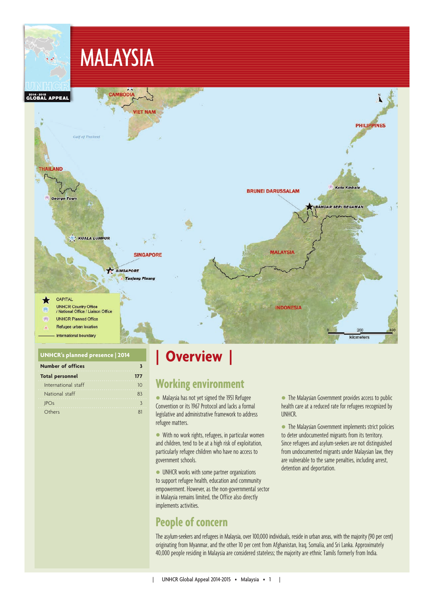

### **UNHCR's planned presence | 2014**

| <b>Number of offices</b> |     |
|--------------------------|-----|
| <b>Total personnel</b>   | 177 |
| International staff      | חו  |
| National staff           | 83  |
| <b>IPOs</b>              |     |
| Others                   |     |

# **| Overview |**

## **Working environment**

 Malaysia has not yet signed the 1951 Refugee Convention or its 1967 Protocol and lacks a formal legislative and administrative framework to address refugee matters.

 With no work rights, refugees, in particular women and children, tend to be at a high risk of exploitation, particularly refugee children who have no access to government schools.

 UNHCR works with some partner organizations to support refugee health, education and community empowerment. However, as the non-governmental sector in Malaysia remains limited, the Office also directly implements activities.

## **People of concern**

 The Malaysian Government provides access to public health care at a reduced rate for refugees recognized by UNHCR.

 The Malaysian Government implements strict policies to deter undocumented migrants from its territory. Since refugees and asylum-seekers are not distinguished from undocumented migrants under Malaysian law, they are vulnerable to the same penalties, including arrest, detention and deportation.

The asylum-seekers and refugees in Malaysia, over 100,000 individuals, reside in urban areas, with the majority (90 per cent) originating from Myanmar, and the other 10 per cent from Afghanistan, Iraq, Somalia, and Sri Lanka. Approximately 40,000 people residing in Malaysia are considered stateless; the majority are ethnic Tamils formerly from India.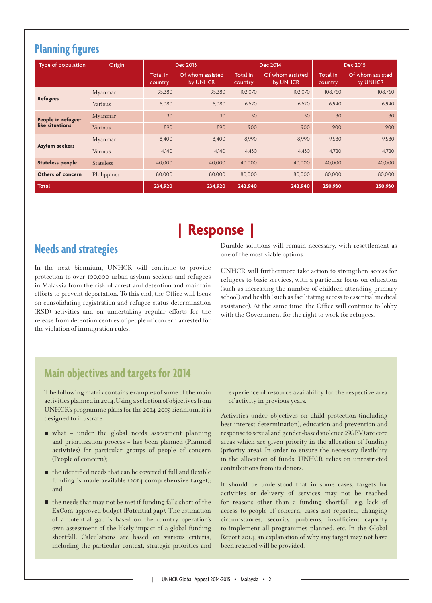# **Planning figures**

| Type of population      | Origin           |                     | Dec 2013                     | Dec 2014            |                              | Dec 2015            |                              |
|-------------------------|------------------|---------------------|------------------------------|---------------------|------------------------------|---------------------|------------------------------|
|                         |                  | Total in<br>country | Of whom assisted<br>by UNHCR | Total in<br>country | Of whom assisted<br>by UNHCR | Total in<br>country | Of whom assisted<br>by UNHCR |
|                         | Myanmar          | 95,380              | 95,380                       | 102,070             | 102,070                      | 108,760             | 108,760                      |
| <b>Refugees</b>         | <b>Various</b>   | 6,080               | 6,080                        | 6,520               | 6,520                        | 6,940               | 6,940                        |
| People in refugee-      | Myanmar          | 30                  | 30                           | 30                  | 30                           | 30                  | 30                           |
| like situations         | Various          | 890                 | 890                          | 900                 | 900                          | 900                 | 900                          |
|                         | Myanmar          | 8,400               | 8,400                        | 8,990               | 8,990                        | 9,580               | 9,580                        |
| Asylum-seekers          | <b>Various</b>   | 4,140               | 4,140                        | 4,430               | 4,430                        | 4,720               | 4,720                        |
| <b>Stateless people</b> | <b>Stateless</b> | 40,000              | 40,000                       | 40,000              | 40,000                       | 40,000              | 40,000                       |
| Others of concern       | Philippines      | 80,000              | 80,000                       | 80,000              | 80,000                       | 80,000              | 80,000                       |
| <b>Total</b>            |                  | 234,920             | 234,920                      | 242,940             | 242,940                      | 250,930             | 250,930                      |

# **| Response |**

## **Needs and strategies**

In the next biennium, UNHCR will continue to provide protection to over 100,000 urban asylum-seekers and refugees in Malaysia from the risk of arrest and detention and maintain efforts to prevent deportation. To this end, the Office will focus on consolidating registration and refugee status determination (RSD) activities and on undertaking regular efforts for the release from detention centres of people of concern arrested for the violation of immigration rules.

Durable solutions will remain necessary, with resettlement as one of the most viable options.

UNHCR will furthermore take action to strengthen access for refugees to basic services, with a particular focus on education (such as increasing the number of children attending primary school) and health (such as facilitating access to essential medical assistance). At the same time, the Office will continue to lobby with the Government for the right to work for refugees.

## **Main objectives and targets for 2014**

The following matrix contains examples of some of the main activities planned in 2014. Using a selection of objectives from UNHCR's programme plans for the 2014-2015 biennium, it is designed to illustrate:

- what under the global needs assessment planning and prioritization process – has been planned (**Planned activities**) for particular groups of people of concern (**People of concern**);
- the identified needs that can be covered if full and flexible funding is made available (**2014 comprehensive target**); and
- $\blacksquare$  the needs that may not be met if funding falls short of the ExCom-approved budget (**Potential gap**). The estimation of a potential gap is based on the country operation's own assessment of the likely impact of a global funding shortfall. Calculations are based on various criteria, including the particular context, strategic priorities and

experience of resource availability for the respective area of activity in previous years.

Activities under objectives on child protection (including best interest determination), education and prevention and response to sexual and gender-based violence (SGBV) are core areas which are given priority in the allocation of funding (**priority area**). In order to ensure the necessary flexibility in the allocation of funds, UNHCR relies on unrestricted contributions from its donors.

It should be understood that in some cases, targets for activities or delivery of services may not be reached for reasons other than a funding shortfall, e.g. lack of access to people of concern, cases not reported, changing circumstances, security problems, insufficient capacity to implement all programmes planned, etc. In the Global Report 2014, an explanation of why any target may not have been reached will be provided.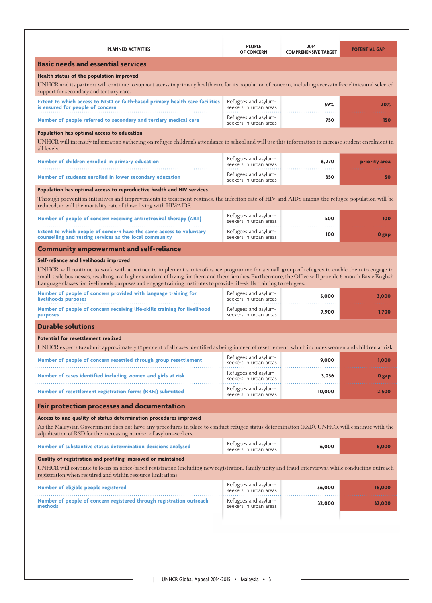| <b>PLANNED ACTIVITIES</b>                                                                                                                                                                                                                                                                                                                                                                                                       | <b>PEOPLE</b><br><b>OF CONCERN</b>             | 2014<br><b>COMPREHENSIVE TARGET</b> | <b>POTENTIAL GAP</b> |
|---------------------------------------------------------------------------------------------------------------------------------------------------------------------------------------------------------------------------------------------------------------------------------------------------------------------------------------------------------------------------------------------------------------------------------|------------------------------------------------|-------------------------------------|----------------------|
| <b>Basic needs and essential services</b>                                                                                                                                                                                                                                                                                                                                                                                       |                                                |                                     |                      |
| Health status of the population improved                                                                                                                                                                                                                                                                                                                                                                                        |                                                |                                     |                      |
| UNHCR and its partners will continue to support access to primary health care for its population of concern, including access to free clinics and selected<br>support for secondary and tertiary care.                                                                                                                                                                                                                          |                                                |                                     |                      |
| Extent to which access to NGO or faith-based primary health care facilities<br>is ensured for people of concern                                                                                                                                                                                                                                                                                                                 | Refugees and asylum-<br>seekers in urban areas | 59%                                 | 20%                  |
| Number of people referred to secondary and tertiary medical care                                                                                                                                                                                                                                                                                                                                                                | Refugees and asylum-<br>seekers in urban areas | 750                                 | 150                  |
| Population has optimal access to education                                                                                                                                                                                                                                                                                                                                                                                      |                                                |                                     |                      |
| UNHCR will intensify information gathering on refugee children's attendance in school and will use this information to increase student enrolment in<br>all levels.                                                                                                                                                                                                                                                             |                                                |                                     |                      |
| Number of children enrolled in primary education                                                                                                                                                                                                                                                                                                                                                                                | Refugees and asylum-<br>seekers in urban areas | 6,270                               | priority area        |
| Number of students enrolled in lower secondary education                                                                                                                                                                                                                                                                                                                                                                        | Refugees and asylum-<br>seekers in urban areas | 350                                 | 50                   |
| Population has optimal access to reproductive health and HIV services                                                                                                                                                                                                                                                                                                                                                           |                                                |                                     |                      |
| Through prevention initiatives and improvements in treatment regimes, the infection rate of HIV and AIDS among the refugee population will be<br>reduced, as will the mortality rate of those living with HIV/AIDS.                                                                                                                                                                                                             |                                                |                                     |                      |
| Number of people of concern receiving antiretroviral therapy (ART)                                                                                                                                                                                                                                                                                                                                                              | Refugees and asylum-<br>seekers in urban areas | 500                                 | 100                  |
| Extent to which people of concern have the same access to voluntary<br>counselling and testing services as the local community                                                                                                                                                                                                                                                                                                  | Refugees and asylum-<br>seekers in urban areas | 100                                 | 0 gap                |
| <b>Community empowerment and self-reliance</b>                                                                                                                                                                                                                                                                                                                                                                                  |                                                |                                     |                      |
| Self-reliance and livelihoods improved                                                                                                                                                                                                                                                                                                                                                                                          |                                                |                                     |                      |
| UNHCR will continue to work with a partner to implement a microfinance programme for a small group of refugees to enable them to engage in<br>small-scale businesses, resulting in a higher standard of living for them and their families. Furthermore, the Office will provide 6-month Basic English<br>Language classes for livelihoods purposes and engage training institutes to provide life-skills training to refugees. |                                                |                                     |                      |
| Number of people of concern provided with language training for<br>livelihoods purposes                                                                                                                                                                                                                                                                                                                                         | Refugees and asylum-<br>seekers in urban areas | 5,000                               | 3,000                |
| Number of people of concern receiving life-skills training for livelihood<br>purposes                                                                                                                                                                                                                                                                                                                                           | Refugees and asylum-<br>seekers in urban areas | 7,900                               | 1.700                |
| <b>Durable solutions</b>                                                                                                                                                                                                                                                                                                                                                                                                        |                                                |                                     |                      |
| Potential for resettlement realized                                                                                                                                                                                                                                                                                                                                                                                             |                                                |                                     |                      |
| UNHCR expects to submit approximately 15 per cent of all cases identified as being in need of resettlement, which includes women and children at risk.                                                                                                                                                                                                                                                                          |                                                |                                     |                      |
| Number of people of concern resettled through group resettlement                                                                                                                                                                                                                                                                                                                                                                | Refugees and asylum-<br>seekers in urban areas | 9,000                               | 1,000                |
| Number of cases identified including women and girls at risk                                                                                                                                                                                                                                                                                                                                                                    | Refugees and asylum-<br>seekers in urban areas | 3,036                               | 0 gap                |
| Number of resettlement registration forms (RRFs) submitted                                                                                                                                                                                                                                                                                                                                                                      | Refugees and asylum-<br>seekers in urban areas | 10,000                              | 2,500                |
| <b>Fair protection processes and documentation</b>                                                                                                                                                                                                                                                                                                                                                                              |                                                |                                     |                      |
| Access to and quality of status determination procedures improved                                                                                                                                                                                                                                                                                                                                                               |                                                |                                     |                      |
| As the Malaysian Government does not have any procedures in place to conduct refugee status determination (RSD), UNHCR will continue with the<br>adjudication of RSD for the increasing number of asylum-seekers.                                                                                                                                                                                                               |                                                |                                     |                      |
| Number of substantive status determination decisions analysed                                                                                                                                                                                                                                                                                                                                                                   | Refugees and asylum-<br>seekers in urban areas | 16,000                              | 8,000                |
| Quality of registration and profiling improved or maintained                                                                                                                                                                                                                                                                                                                                                                    |                                                |                                     |                      |
| UNHCR will continue to focus on office-based registration (including new registration, family unity and fraud interviews), while conducting outreach<br>registration when required and within resource limitations.                                                                                                                                                                                                             |                                                |                                     |                      |
| Number of eligible people registered                                                                                                                                                                                                                                                                                                                                                                                            | Refugees and asylum-<br>seekers in urban areas | 36,000                              | 18,000               |
| Number of people of concern registered through registration outreach<br>methods                                                                                                                                                                                                                                                                                                                                                 | Refugees and asylum-<br>seekers in urban areas | 32,000                              | 32,000               |
|                                                                                                                                                                                                                                                                                                                                                                                                                                 |                                                |                                     |                      |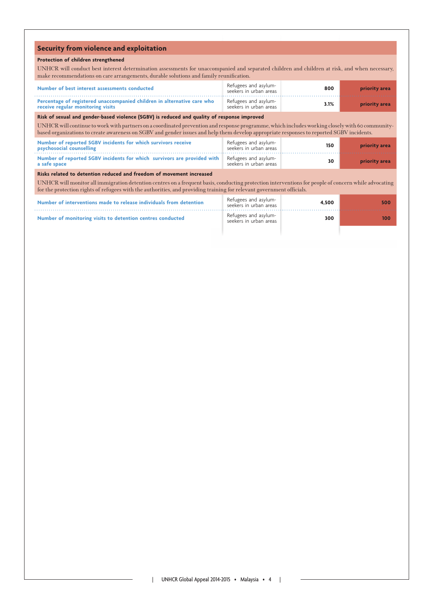### **Security from violence and exploitation**

### **Protection of children strengthened**

UNHCR will conduct best interest determination assessments for unaccompanied and separated children and children at risk, and when necessary, make recommendations on care arrangements, durable solutions and family reunification.

| Number of best interest assessments conducted                                                                | Refugees and asylum-<br>seekers in urban areas | 800  | priority area |
|--------------------------------------------------------------------------------------------------------------|------------------------------------------------|------|---------------|
| Percentage of registered unaccompanied children in alternative care who<br>receive regular monitoring visits | Refugees and asylum-<br>seekers in urban areas | 3.1% | priority area |

**Risk of sexual and gender-based violence (SGBV) is reduced and quality of response improved**

UNHCR will continue to work with partners on a coordinated prevention and response programme, which includes working closely with 60 communitybased organizations to create awareness on SGBV and gender issues and help them develop appropriate responses to reported SGBV incidents.

| Number of reported SGBV incidents for which survivors receive<br><b>psychosocial counselling</b>             | Refugees and asylum-<br>seekers in urban areas | 150 | priority area |
|--------------------------------------------------------------------------------------------------------------|------------------------------------------------|-----|---------------|
| Number of reported SGBV incidents for which survivors are provided with Refugees and asylum-<br>a safe space | seekers in urban areas                         | 30  | priority area |

### **Risks related to detention reduced and freedom of movement increased**

UNHCR will monitor all immigration detention centres on a frequent basis, conducting protection interventions for people of concern while advocating for the protection rights of refugees with the authorities, and providing training for relevant government officials.

| Number of interventions made to release individuals from detention | Refugees and asylum-<br>seekers in urban areas | 4.500 | 500 |
|--------------------------------------------------------------------|------------------------------------------------|-------|-----|
| Number of monitoring visits to detention centres conducted         | Refugees and asylum-<br>seekers in urban areas |       | 100 |
|                                                                    |                                                |       |     |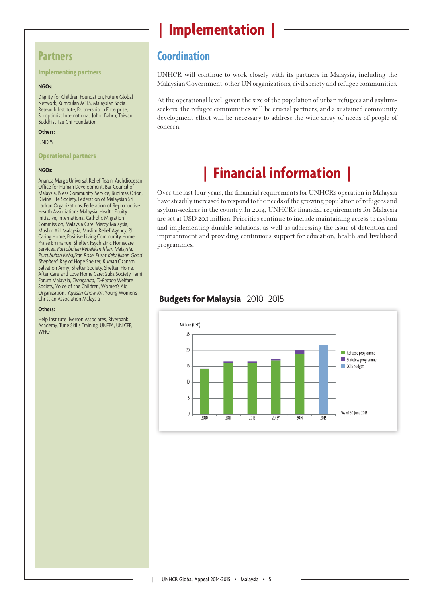### **Partners**

**Implementing partners**

### **NGOs:**

Dignity for Children Foundation, Future Global Network, Kumpulan ACTS, Malaysian Social Research Institute, Partnership in Enterprise, Soroptimist International, Johor Bahru, Taiwan Buddhist Tzu Chi Foundation

### **Others:**

UNOPS

#### **Operational partners**

### **NGOs:**

Ananda Marga Universal Relief Team, Archdiocesan Office for Human Development, Bar Council of Malaysia, Bless Community Service, Budimas Orion, Divine Life Society, Federation of Malaysian Sri Lankan Organizations, Federation of Reproductive Health Associations Malaysia, Health Equity Initiative, International Catholic Migration Commission, Malaysia Care, Mercy Malaysia, Muslim Aid Malaysia, Muslim Relief Agency, PJ Caring Home, Positive Living Community Home, Praise Emmanuel Shelter, Psychiatric Homecare Services, Purtubuhan Kebajikan Islam Malaysia, Purtubuhan Kebajikan Rose, Pusat Kebajikaan Good Shepherd, Ray of Hope Shelter, Rumah Ozanam, Salvation Army; Shelter Society, Shelter, Home, After Care and Love Home Care; Suka Society, Tamil Forum Malaysia, Tenaganita, Ti-Ratana Welfare Society, Voice of the Children, Women's Aid Organization, Yayasan Chow Kit, Young Women's Christian Association Malaysia

#### **Others:**

Help Institute, Iverson Associates, Riverbank Academy, Tune Skills Training, UNFPA, UNICEF, WHO

# **| Implementation |**

### **Coordination**

UNHCR will continue to work closely with its partners in Malaysia, including the Malaysian Government, other UN organizations, civil society and refugee communities.

At the operational level, given the size of the population of urban refugees and asylumseekers, the refugee communities will be crucial partners, and a sustained community development effort will be necessary to address the wide array of needs of people of concern.

# **| Financial information |**

Over the last four years, the financial requirements for UNHCR's operation in Malaysia have steadily increased to respond to the needs of the growing population of refugees and asylum-seekers in the country. In 2014, UNHCR's financial requirements for Malaysia are set at USD 20.1 million. Priorities continue to include maintaining access to asylum and implementing durable solutions, as well as addressing the issue of detention and imprisonment and providing continuous support for education, health and livelihood programmes.

### **Budgets for Malaysia** | 2010–2015